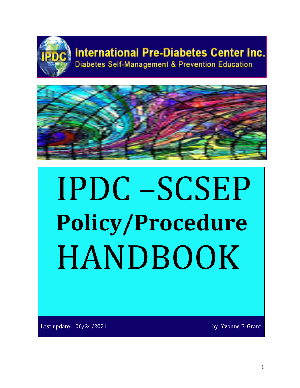

# **International Pre-Diabetes Center Inc.**

**Diabetes Self-Management & Prevention Education** 



# **IPDC –SCSEP**<br>Policy/Procedure HANDBOOK

Last update :  $06/24/2021$  and the set of the set of the set of the set of the set of the set of the set of the set of the set of the set of the set of the set of the set of the set of the set of the set of the set of the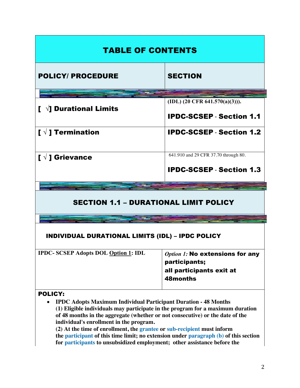| <b>TABLE OF CONTENTS</b>                                |                                             |
|---------------------------------------------------------|---------------------------------------------|
| <b>POLICY/ PROCEDURE</b>                                | <b>SECTION</b>                              |
|                                                         |                                             |
|                                                         | (IDL) (20 CFR 641.570(a)(3))).              |
| $\mathbf{I}$ $\forall$ ] Durational Limits              | <b>IPDC-SCSEP - Section 1.1</b>             |
| [ $\sqrt{ }$ ] Termination                              | <b>IPDC-SCSEP - Section 1.2</b>             |
|                                                         | 641.910 and 29 CFR 37.70 through 80.        |
| [ $\sqrt{ }$ ] Grievance                                |                                             |
|                                                         | <b>IPDC-SCSEP - Section 1.3</b>             |
|                                                         |                                             |
|                                                         |                                             |
| <b>SECTION 1.1 - DURATIONAL LIMIT POLICY</b>            |                                             |
|                                                         |                                             |
| <b>INDIVIDUAL DURATIONAL LIMITS (IDL) - IPDC POLICY</b> |                                             |
| <b>IPDC-SCSEP Adopts DOL Option 1: IDL</b>              | <b>Option 1: No extensions for any</b>      |
|                                                         | participants;                               |
|                                                         | all participants exit at<br><b>48months</b> |
| <b>POLICY:</b>                                          |                                             |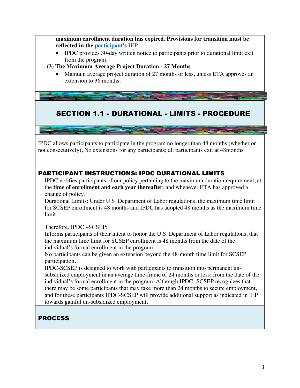**maximum enrollment duration has expired. Provisions for transition must be reflected in the participant's IEP**

• IPDC provides 30-day written notice to participants prior to durational limit exit from the program.

#### **(3) The Maximum Average Project Duration - 27 Months**

• Maintain average project duration of 27 months or less, unless ETA approves an extension to 36 months.

# SECTION 1.1 - DURATIONAL - LIMITS - PROCEDURE

IPDC allows participants to participate in the program no longer than 48 months (whether or not consecutively), No extensions for any participants; all participants exit at 48months

#### PARTICIPANT INSTRUCTIONS: IPDC DURATIONAL LIMITS:

IPDC notifies participants of our policy pertaining to the maximum duration requirement, at the **time of enrollment and each year thereafter**, and whenever ETA has approved a change of policy.

Durational Limits: Under U.S. Department of Labor regulations, the maximum time limit for SCSEP enrollment is 48 months and IPDC has adopted 48 months as the maximum time limit.

#### Therefore, IPDC –SCSEP:

Informs participants of their intent to honor the U.S. Department of Labor regulations, that the maximum time limit for SCSEP enrollment is 48 months from the date of the individual's formal enrollment in the program.

No participants can be given an extension beyond the 48-month time limit for SCSEP participation.

IPDC-SCSEP is designed to work with participants to transition into permanent unsubsidized employment in an average time-frame of 24 months or less: from the date of the individual's formal enrollment in the program. Although IPDC- SCSEP recognizes that there may be some participants that may take more than 24 months to secure employment, and for these participants IPDC-SCSEP will provide additional support as indicated in IEP towards gainful un-subsidized employment.

# PROCESS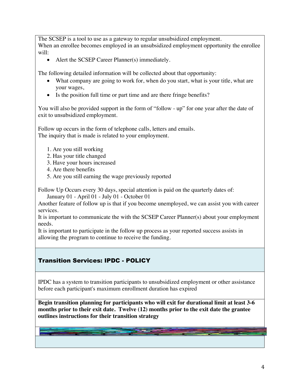The SCSEP is a tool to use as a gateway to regular unsubsidized employment. When an enrollee becomes employed in an unsubsidized employment opportunity the enrollee will:

• Alert the SCSEP Career Planner(s) immediately.

The following detailed information will be collected about that opportunity:

- What company are going to work for, when do you start, what is your title, what are your wages,
- Is the position full time or part time and are there fringe benefits?

You will also be provided support in the form of "follow - up" for one year after the date of exit to unsubsidized employment.

Follow up occurs in the form of telephone calls, letters and emails. The inquiry that is made is related to your employment.

- 1. Are you still working
- 2. Has your title changed
- 3. Have your hours increased
- 4. Are there benefits
- 5. Are you still earning the wage previously reported

Follow Up Occurs every 30 days, special attention is paid on the quarterly dates of:

January 01 - April 01 - July 01 - October 01

Another feature of follow up is that if you become unemployed, we can assist you with career services.

It is important to communicate the with the SCSEP Career Planner(s) about your employment needs.

It is important to participate in the follow up process as your reported success assists in allowing the program to continue to receive the funding.

# Transition Services: IPDC - POLICY

IPDC has a system to transition participants to unsubsidized employment or other assistance before each participant's maximum enrollment duration has expired

**Begin transition planning for participants who will exit for durational limit at least 3-6 months prior to their exit date. Twelve (12) months prior to the exit date the grantee outlines instructions for their transition strategy**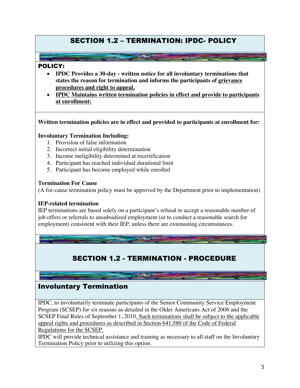# SECTION 1.2 – TERMINATION: IPDC- POLICY

#### POLICY:

- **IPDC Provides a 30-day - written notice for all involuntary terminations that states the reason for termination and informs the participants of grievance procedures and right to appeal.**
- **IPDC Maintains written termination policies in effect and provide to participants at enrollment:**

**Written termination policies are in effect and provided to participants at enrollment for:**

#### **Involuntary Termination Including:**

- 1. Provision of false information
- 2. Incorrect initial eligibility determination
- 3. Income ineligibility determined at recertification
- 4. Participant has reached individual durational limit
- 5. Participant has become employed while enrolled

#### **Termination For Cause**

(A for-cause termination policy must be approved by the Department prior to implementation)

#### **IEP-related termination**

IEP terminations are based solely on a participant's refusal to accept a reasonable number of job offers or referrals to unsubsidized employment (or to conduct a reasonable search for employment) consistent with their IEP, unless there are extenuating circumstances.

# SECTION 1.2 - TERMINATION - PROCEDURE

# Involuntary Termination

IPDC, to involuntarily terminate participants of the Senior Community Service Employment Program (SCSEP) for six reasons as detailed in the Older Americans Act of 2006 and the SCSEP Final Rules of September 1, 2010. Such terminations shall be subject to the applicable appeal rights and procedures as described in Section 641.580 of the Code of Federal Regulations for the SCSEP.

IPDC will provide technical assistance and training as necessary to all staff on the Involuntary Termination Policy prior to utilizing this option.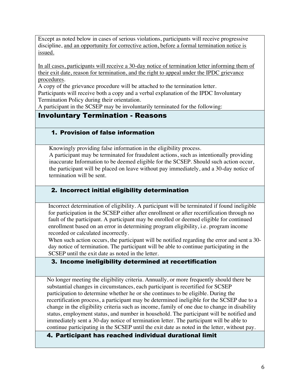Except as noted below in cases of serious violations, participants will receive progressive discipline, and an opportunity for corrective action, before a formal termination notice is issued.

In all cases, participants will receive a 30-day notice of termination letter informing them of their exit date, reason for termination, and the right to appeal under the IPDC grievance procedures.

A copy of the grievance procedure will be attached to the termination letter.

Participants will receive both a copy and a verbal explanation of the IPDC Involuntary Termination Policy during their orientation.

A participant in the SCSEP may be involuntarily terminated for the following:

# Involuntary Termination - Reasons

#### 1. Provision of false information

Knowingly providing false information in the eligibility process.

A participant may be terminated for fraudulent actions, such as intentionally providing inaccurate Information to be deemed eligible for the SCSEP. Should such action occur, the participant will be placed on leave without pay immediately, and a 30-day notice of termination will be sent.

#### 2. Incorrect initial eligibility determination

Incorrect determination of eligibility. A participant will be terminated if found ineligible for participation in the SCSEP either after enrollment or after recertification through no fault of the participant. A participant may be enrolled or deemed eligible for continued enrollment based on an error in determining program eligibility, i.e. program income recorded or calculated incorrectly.

When such action occurs, the participant will be notified regarding the error and sent a 30day notice of termination. The participant will be able to continue participating in the SCSEP until the exit date as noted in the letter.

#### 3. Income ineligibility determined at recertification

No longer meeting the eligibility criteria. Annually, or more frequently should there be substantial changes in circumstances, each participant is recertified for SCSEP participation to determine whether he or she continues to be eligible. During the recertification process, a participant may be determined ineligible for the SCSEP due to a change in the eligibility criteria such as income, family of one due to change in disability status, employment status, and number in household. The participant will be notified and immediately sent a 30-day notice of termination letter. The participant will be able to continue participating in the SCSEP until the exit date as noted in the letter, without pay.

4. Participant has reached individual durational limit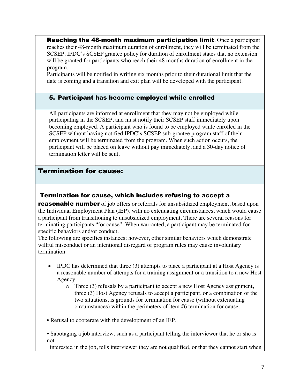**Reaching the 48-month maximum participation limit.** Once a participant reaches their 48-month maximum duration of enrollment, they will be terminated from the SCSEP. IPDC's SCSEP grantee policy for duration of enrollment states that no extension will be granted for participants who reach their 48 months duration of enrollment in the program.

Participants will be notified in writing six months prior to their durational limit that the date is coming and a transition and exit plan will be developed with the participant.

#### 5. Participant has become employed while enrolled

All participants are informed at enrollment that they may not be employed while participating in the SCSEP, and must notify their SCSEP staff immediately upon becoming employed. A participant who is found to be employed while enrolled in the SCSEP without having notified IPDC's SCSEP sub-grantee program staff of their employment will be terminated from the program. When such action occurs, the participant will be placed on leave without pay immediately, and a 30-day notice of termination letter will be sent.

# Termination for cause:

#### Termination for cause, which includes refusing to accept a

**reasonable number** of job offers or referrals for unsubsidized employment, based upon the Individual Employment Plan (IEP), with no extenuating circumstances, which would cause a participant from transitioning to unsubsidized employment. There are several reasons for terminating participants "for cause". When warranted, a participant may be terminated for specific behaviors and/or conduct.

The following are specifics instances; however, other similar behaviors which demonstrate willful misconduct or an intentional disregard of program rules may cause involuntary termination:

- IPDC has determined that three (3) attempts to place a participant at a Host Agency is a reasonable number of attempts for a training assignment or a transition to a new Host Agency.
	- $\circ$  Three (3) refusals by a participant to accept a new Host Agency assignment, three (3) Host Agency refusals to accept a participant, or a combination of the two situations, is grounds for termination for cause (without extenuating circumstances) within the perimeters of item #6 termination for cause.
- Refusal to cooperate with the development of an IEP.
- Sabotaging a job interview, such as a participant telling the interviewer that he or she is not

interested in the job, tells interviewer they are not qualified, or that they cannot start when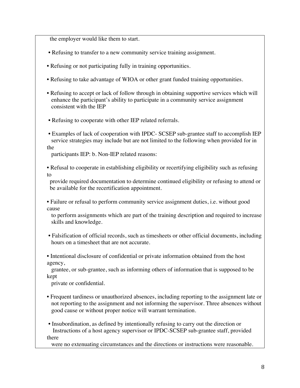the employer would like them to start.

- Refusing to transfer to a new community service training assignment.
- Refusing or not participating fully in training opportunities.
- Refusing to take advantage of WIOA or other grant funded training opportunities.
- Refusing to accept or lack of follow through in obtaining supportive services which will enhance the participant's ability to participate in a community service assignment consistent with the IEP
- Refusing to cooperate with other IEP related referrals.
- Examples of lack of cooperation with IPDC- SCSEP sub-grantee staff to accomplish IEP service strategies may include but are not limited to the following when provided for in the

participants IEP: b. Non-IEP related reasons:

• Refusal to cooperate in establishing eligibility or recertifying eligibility such as refusing to

 provide required documentation to determine continued eligibility or refusing to attend or be available for the recertification appointment.

• Failure or refusal to perform community service assignment duties, i.e. without good cause

 to perform assignments which are part of the training description and required to increase skills and knowledge.

• Falsification of official records, such as timesheets or other official documents, including hours on a timesheet that are not accurate.

• Intentional disclosure of confidential or private information obtained from the host agency,

 grantee, or sub-grantee, such as informing others of information that is supposed to be kept

private or confidential.

• Frequent tardiness or unauthorized absences, including reporting to the assignment late or not reporting to the assignment and not informing the supervisor. Three absences without good cause or without proper notice will warrant termination.

• Insubordination, as defined by intentionally refusing to carry out the direction or Instructions of a host agency supervisor or IPDC-SCSEP sub-grantee staff, provided there

were no extenuating circumstances and the directions or instructions were reasonable.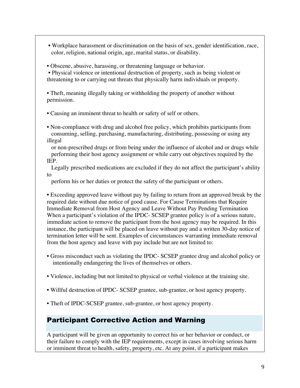- Workplace harassment or discrimination on the basis of sex, gender identification, race, color, religion, national origin, age, marital status, or disability.
- Obscene, abusive, harassing, or threatening language or behavior.

• Physical violence or intentional destruction of property, such as being violent or threatening to or carrying out threats that physically harm individuals or property.

• Theft, meaning illegally taking or withholding the property of another without permission.

• Causing an imminent threat to health or safety of self or others.

• Non-compliance with drug and alcohol free policy, which prohibits participants from consuming, selling, purchasing, manufacturing, distributing, possessing or using any illegal

 or non-prescribed drugs or from being under the influence of alcohol and or drugs while performing their host agency assignment or while carry out objectives required by the IEP.

 Legally prescribed medications are excluded if they do not affect the participant's ability to

perform his or her duties or protect the safety of the participant or others.

• Exceeding approved leave without pay by failing to return from an approved break by the required date without due notice of good cause. For Cause Terminations that Require Immediate Removal from Host Agency and Leave Without Pay Pending Termination When a participant's violation of the IPDC- SCSEP grantee policy is of a serious nature, immediate action to remove the participant from the host agency may be required. In this instance, the participant will be placed on leave without pay and a written 30-day notice of termination letter will be sent. Examples of circumstances warranting immediate removal from the host agency and leave with pay include but are not limited to:

- Gross misconduct such as violating the IPDC- SCSEP grantee drug and alcohol policy or intentionally endangering the lives of themselves or others.
- Violence, including but not limited to physical or verbal violence at the training site.
- Willful destruction of IPDC- SCSEP grantee, sub-grantee, or host agency property.
- Theft of IPDC-SCSEP grantee, sub-grantee, or host agency property.

# Participant Corrective Action and Warning

A participant will be given an opportunity to correct his or her behavior or conduct, or their failure to comply with the IEP requirements, except in cases involving serious harm or imminent threat to health, safety, property, etc. At any point, if a participant makes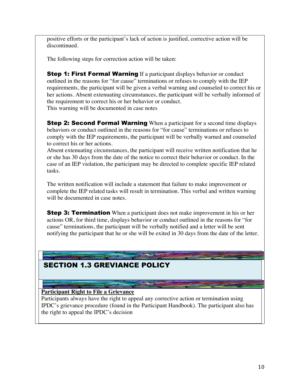positive efforts or the participant's lack of action is justified, corrective action will be discontinued.

The following steps for correction action will be taken:

**Step 1: First Formal Warning** If a participant displays behavior or conduct outlined in the reasons for "for cause" terminations or refuses to comply with the IEP requirements, the participant will be given a verbal warning and counseled to correct his or her actions. Absent extenuating circumstances, the participant will be verbally informed of the requirement to correct his or her behavior or conduct. This warning will be documented in case notes

**Step 2: Second Formal Warning** When a participant for a second time displays behaviors or conduct outlined in the reasons for "for cause" terminations or refuses to comply with the IEP requirements, the participant will be verbally warned and counseled to correct his or her actions.

Absent extenuating circumstances, the participant will receive written notification that he or she has 30 days from the date of the notice to correct their behavior or conduct. In the case of an IEP violation, the participant may be directed to complete specific IEP related tasks.

The written notification will include a statement that failure to make improvement or complete the IEP related tasks will result in termination. This verbal and written warning will be documented in case notes.

**Step 3: Termination** When a participant does not make improvement in his or her actions OR, for third time, displays behavior or conduct outlined in the reasons for "for cause" terminations, the participant will be verbally notified and a letter will be sent notifying the participant that he or she will be exited in 30 days from the date of the letter.

# SECTION 1.3 GREVIANCE POLICY

#### **Participant Right to File a Grievance**

Participants always have the right to appeal any corrective action or termination using IPDC's grievance procedure (found in the Participant Handbook). The participant also has the right to appeal the IPDC's decision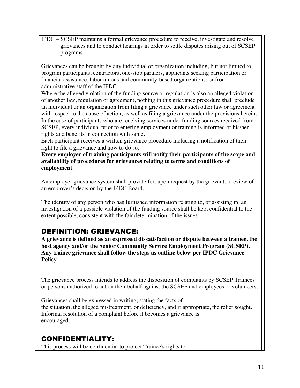IPDC – SCSEP maintains a formal grievance procedure to receive, investigate and resolve grievances and to conduct hearings in order to settle disputes arising out of SCSEP programs

Grievances can be brought by any individual or organization including, but not limited to, program participants, contractors, one-stop partners, applicants seeking participation or financial assistance, labor unions and community-based organizations; or from administrative staff of the IPDC

Where the alleged violation of the funding source or regulation is also an alleged violation of another law, regulation or agreement, nothing in this grievance procedure shall preclude an individual or an organization from filing a grievance under such other law or agreement with respect to the cause of action; as well as filing a grievance under the provisions herein. In the case of participants who are receiving services under funding sources received from SCSEP, every individual prior to entering employment or training is informed of his/her rights and benefits in connection with same.

Each participant receives a written grievance procedure including a notification of their right to file a grievance and how to do so.

**Every employer of training participants will notify their participants of the scope and availability of procedures for grievances relating to terms and conditions of employment**.

An employer grievance system shall provide for, upon request by the grievant, a review of an employer's decision by the IPDC Board.

The identity of any person who has furnished information relating to, or assisting in, an investigation of a possible violation of the funding source shall be kept confidential to the extent possible, consistent with the fair determination of the issues

# DEFINITION: GRIEVANCE:

**A grievance is defined as an expressed dissatisfaction or dispute between a trainee, the host agency and/or the Senior Community Service Employment Program (SCSEP). Any trainee grievance shall follow the steps as outline below per IPDC Grievance Policy**

The grievance process intends to address the disposition of complaints by SCSEP Trainees or persons authorized to act on their behalf against the SCSEP and employees or volunteers.

Grievances shall be expressed in writing, stating the facts of the situation, the alleged mistreatment, or deficiency, and if appropriate, the relief sought. Informal resolution of a complaint before it becomes a grievance is encouraged.

# CONFIDENTIALITY:

This process will be confidential to protect Trainee's rights to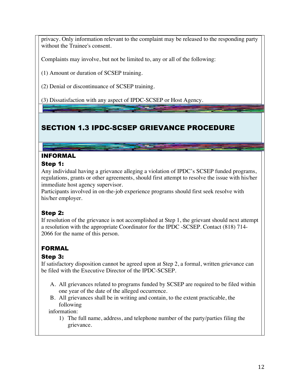privacy. Only information relevant to the complaint may be released to the responding party without the Trainee's consent.

Complaints may involve, but not be limited to, any or all of the following:

(1) Amount or duration of SCSEP training.

(2) Denial or discontinuance of SCSEP training.

(3) Dissatisfaction with any aspect of IPDC-SCSEP or Host Agency.

# SECTION 1.3 IPDC-SCSEP GRIEVANCE PROCEDURE

# INFORMAL

#### Step 1:

Any individual having a grievance alleging a violation of IPDC's SCSEP funded programs, regulations, grants or other agreements, should first attempt to resolve the issue with his/her immediate host agency supervisor.

Participants involved in on-the-job experience programs should first seek resolve with his/her employer.

# Step 2:

If resolution of the grievance is not accomplished at Step 1, the grievant should next attempt a resolution with the appropriate Coordinator for the IPDC -SCSEP. Contact (818) 714- 2066 for the name of this person.

# FORMAL

# Step 3:

If satisfactory disposition cannot be agreed upon at Step 2, a formal, written grievance can be filed with the Executive Director of the IPDC-SCSEP.

- A. All grievances related to programs funded by SCSEP are required to be filed within one year of the date of the alleged occurrence.
- B. All grievances shall be in writing and contain, to the extent practicable, the following

information:

1) The full name, address, and telephone number of the party/parties filing the grievance.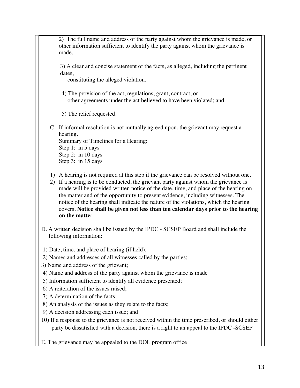2) The full name and address of the party against whom the grievance is made, or other information sufficient to identify the party against whom the grievance is made.

3) A clear and concise statement of the facts, as alleged, including the pertinent dates,

constituting the alleged violation.

4) The provision of the act, regulations, grant, contract, or other agreements under the act believed to have been violated; and

5) The relief requested.

C. If informal resolution is not mutually agreed upon, the grievant may request a hearing. Summary of Timelines for a Hearing:

Step 1: in 5 days Step 2: in 10 days Step 3: in 15 days

- 1) A hearing is not required at this step if the grievance can be resolved without one.
- 2) If a hearing is to be conducted, the grievant party against whom the grievance is made will be provided written notice of the date, time, and place of the hearing on the matter and of the opportunity to present evidence, including witnesses. The notice of the hearing shall indicate the nature of the violations, which the hearing covers. **Notice shall be given not less than ten calendar days prior to the hearing on the matte**r.
- D. A written decision shall be issued by the IPDC SCSEP Board and shall include the following information:
- 1) Date, time, and place of hearing (if held);
- 2) Names and addresses of all witnesses called by the parties;
- 3) Name and address of the grievant;
- 4) Name and address of the party against whom the grievance is made
- 5) Information sufficient to identify all evidence presented;
- 6) A reiteration of the issues raised;
- 7) A determination of the facts;
- 8) An analysis of the issues as they relate to the facts;
- 9) A decision addressing each issue; and
- 10) If a response to the grievance is not received within the time prescribed, or should either party be dissatisfied with a decision, there is a right to an appeal to the IPDC -SCSEP
- E. The grievance may be appealed to the DOL program office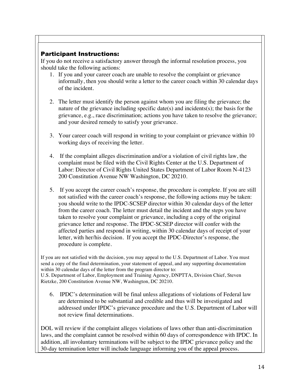#### Participant Instructions:

If you do not receive a satisfactory answer through the informal resolution process, you should take the following actions:

- 1. If you and your career coach are unable to resolve the complaint or grievance informally, then you should write a letter to the career coach within 30 calendar days of the incident.
- 2. The letter must identify the person against whom you are filing the grievance; the nature of the grievance including specific date(s) and incidents(s); the basis for the grievance, e.g., race discrimination; actions you have taken to resolve the grievance; and your desired remedy to satisfy your grievance.
- 3. Your career coach will respond in writing to your complaint or grievance within 10 working days of receiving the letter.
- 4. If the complaint alleges discrimination and/or a violation of civil rights law, the complaint must be filed with the Civil Rights Center at the U.S. Department of Labor: Director of Civil Rights United States Department of Labor Room N-4123 200 Constitution Avenue NW Washington, DC 20210.
- 5. If you accept the career coach's response, the procedure is complete. If you are still not satisfied with the career coach's response, the following actions may be taken: you should write to the IPDC-SCSEP director within 30 calendar days of the letter from the career coach. The letter must detail the incident and the steps you have taken to resolve your complaint or grievance, including a copy of the original grievance letter and response. The IPDC-SCSEP director will confer with the affected parties and respond in writing, within 30 calendar days of receipt of your letter, with her/his decision. If you accept the IPDC-Director's response, the procedure is complete.

If you are not satisfied with the decision, you may appeal to the U.S. Department of Labor. You must send a copy of the final determination, your statement of appeal, and any supporting documentation within 30 calendar days of the letter from the program director to: U.S. Department of Labor, Employment and Training Agency, DNPTTA, Division Chief, Steven Rietzke, 200 Constitution Avenue NW, Washington, DC 20210.

6. IPDC's determination will be final unless allegations of violations of Federal law are determined to be substantial and credible and thus will be investigated and addressed under IPDC's grievance procedure and the U.S. Department of Labor will not review final determinations.

DOL will review if the complaint alleges violations of laws other than anti-discrimination laws, and the complaint cannot be resolved within 60 days of correspondence with IPDC. In addition, all involuntary terminations will be subject to the IPDC grievance policy and the 30-day termination letter will include language informing you of the appeal process.